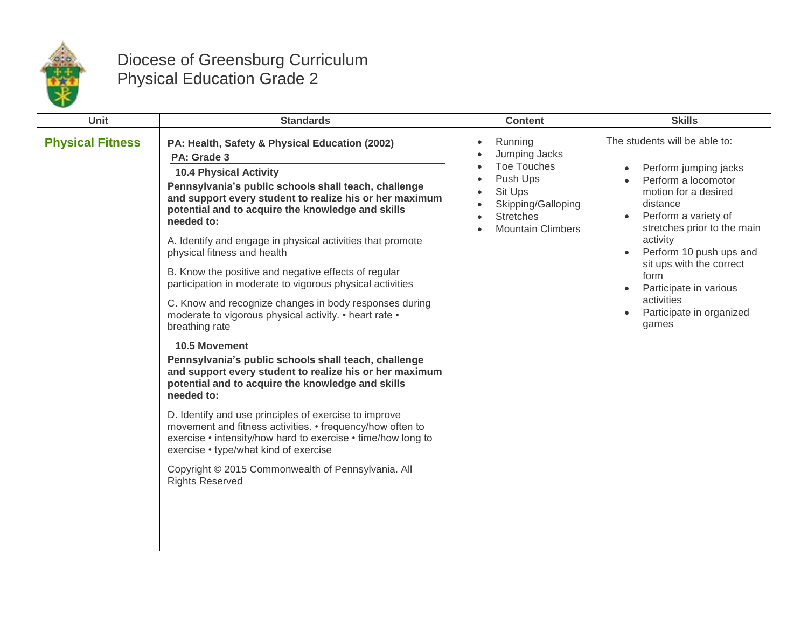

## Diocese of Greensburg Curriculum Physical Education Grade 2

| Unit                    | <b>Standards</b>                                                                                                                                                                                                                                                                                                                                                                                                                                                                                                                                                                                                                                                                                                                                                                                                                                                                                                                                                                                                                                                                                                                                                   | <b>Content</b>                                                                                                                                                              | <b>Skills</b>                                                                                                                                                                                                                                                                                                                    |
|-------------------------|--------------------------------------------------------------------------------------------------------------------------------------------------------------------------------------------------------------------------------------------------------------------------------------------------------------------------------------------------------------------------------------------------------------------------------------------------------------------------------------------------------------------------------------------------------------------------------------------------------------------------------------------------------------------------------------------------------------------------------------------------------------------------------------------------------------------------------------------------------------------------------------------------------------------------------------------------------------------------------------------------------------------------------------------------------------------------------------------------------------------------------------------------------------------|-----------------------------------------------------------------------------------------------------------------------------------------------------------------------------|----------------------------------------------------------------------------------------------------------------------------------------------------------------------------------------------------------------------------------------------------------------------------------------------------------------------------------|
| <b>Physical Fitness</b> | PA: Health, Safety & Physical Education (2002)<br>PA: Grade 3<br><b>10.4 Physical Activity</b><br>Pennsylvania's public schools shall teach, challenge<br>and support every student to realize his or her maximum<br>potential and to acquire the knowledge and skills<br>needed to:<br>A. Identify and engage in physical activities that promote<br>physical fitness and health<br>B. Know the positive and negative effects of regular<br>participation in moderate to vigorous physical activities<br>C. Know and recognize changes in body responses during<br>moderate to vigorous physical activity. • heart rate •<br>breathing rate<br>10.5 Movement<br>Pennsylvania's public schools shall teach, challenge<br>and support every student to realize his or her maximum<br>potential and to acquire the knowledge and skills<br>needed to:<br>D. Identify and use principles of exercise to improve<br>movement and fitness activities. • frequency/how often to<br>exercise • intensity/how hard to exercise • time/how long to<br>exercise • type/what kind of exercise<br>Copyright © 2015 Commonwealth of Pennsylvania. All<br><b>Rights Reserved</b> | Running<br>$\bullet$<br>Jumping Jacks<br>Toe Touches<br>Push Ups<br>$\bullet$<br>Sit Ups<br>$\bullet$<br>Skipping/Galloping<br><b>Stretches</b><br><b>Mountain Climbers</b> | The students will be able to:<br>Perform jumping jacks<br>Perform a locomotor<br>motion for a desired<br>distance<br>Perform a variety of<br>stretches prior to the main<br>activity<br>Perform 10 push ups and<br>sit ups with the correct<br>form<br>Participate in various<br>activities<br>Participate in organized<br>games |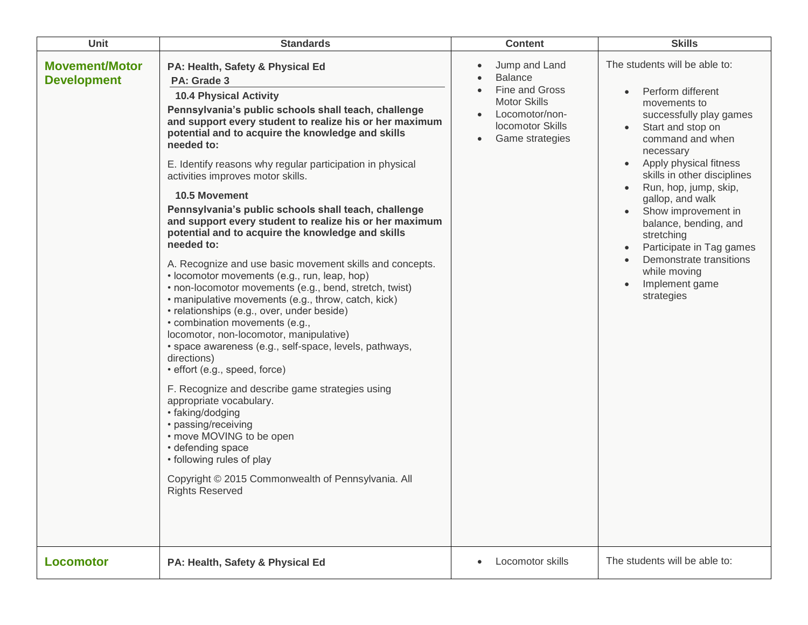| Unit                                        | <b>Standards</b>                                                                                                                                                                                                                                                                                                                                                                                                                                                                                                                                                                                                                                                                                                                                                                                                                                                                                                                                                                                                                                                                                                                                                                                                                                                                                                                         | <b>Content</b>                                                                                                                                        | <b>Skills</b>                                                                                                                                                                                                                                                                                                                                                                                                                               |
|---------------------------------------------|------------------------------------------------------------------------------------------------------------------------------------------------------------------------------------------------------------------------------------------------------------------------------------------------------------------------------------------------------------------------------------------------------------------------------------------------------------------------------------------------------------------------------------------------------------------------------------------------------------------------------------------------------------------------------------------------------------------------------------------------------------------------------------------------------------------------------------------------------------------------------------------------------------------------------------------------------------------------------------------------------------------------------------------------------------------------------------------------------------------------------------------------------------------------------------------------------------------------------------------------------------------------------------------------------------------------------------------|-------------------------------------------------------------------------------------------------------------------------------------------------------|---------------------------------------------------------------------------------------------------------------------------------------------------------------------------------------------------------------------------------------------------------------------------------------------------------------------------------------------------------------------------------------------------------------------------------------------|
| <b>Movement/Motor</b><br><b>Development</b> | PA: Health, Safety & Physical Ed<br>PA: Grade 3<br><b>10.4 Physical Activity</b><br>Pennsylvania's public schools shall teach, challenge<br>and support every student to realize his or her maximum<br>potential and to acquire the knowledge and skills<br>needed to:<br>E. Identify reasons why regular participation in physical<br>activities improves motor skills.<br>10.5 Movement<br>Pennsylvania's public schools shall teach, challenge<br>and support every student to realize his or her maximum<br>potential and to acquire the knowledge and skills<br>needed to:<br>A. Recognize and use basic movement skills and concepts.<br>• locomotor movements (e.g., run, leap, hop)<br>• non-locomotor movements (e.g., bend, stretch, twist)<br>• manipulative movements (e.g., throw, catch, kick)<br>· relationships (e.g., over, under beside)<br>• combination movements (e.g.,<br>locomotor, non-locomotor, manipulative)<br>• space awareness (e.g., self-space, levels, pathways,<br>directions)<br>• effort (e.g., speed, force)<br>F. Recognize and describe game strategies using<br>appropriate vocabulary.<br>• faking/dodging<br>• passing/receiving<br>• move MOVING to be open<br>• defending space<br>• following rules of play<br>Copyright © 2015 Commonwealth of Pennsylvania. All<br><b>Rights Reserved</b> | Jump and Land<br>$\bullet$<br><b>Balance</b><br>Fine and Gross<br><b>Motor Skills</b><br>Locomotor/non-<br><b>locomotor Skills</b><br>Game strategies | The students will be able to:<br>Perform different<br>movements to<br>successfully play games<br>Start and stop on<br>command and when<br>necessary<br>Apply physical fitness<br>skills in other disciplines<br>Run, hop, jump, skip,<br>gallop, and walk<br>Show improvement in<br>balance, bending, and<br>stretching<br>Participate in Tag games<br>$\bullet$<br>Demonstrate transitions<br>while moving<br>Implement game<br>strategies |
| <b>Locomotor</b>                            | PA: Health, Safety & Physical Ed                                                                                                                                                                                                                                                                                                                                                                                                                                                                                                                                                                                                                                                                                                                                                                                                                                                                                                                                                                                                                                                                                                                                                                                                                                                                                                         | Locomotor skills<br>$\bullet$                                                                                                                         | The students will be able to:                                                                                                                                                                                                                                                                                                                                                                                                               |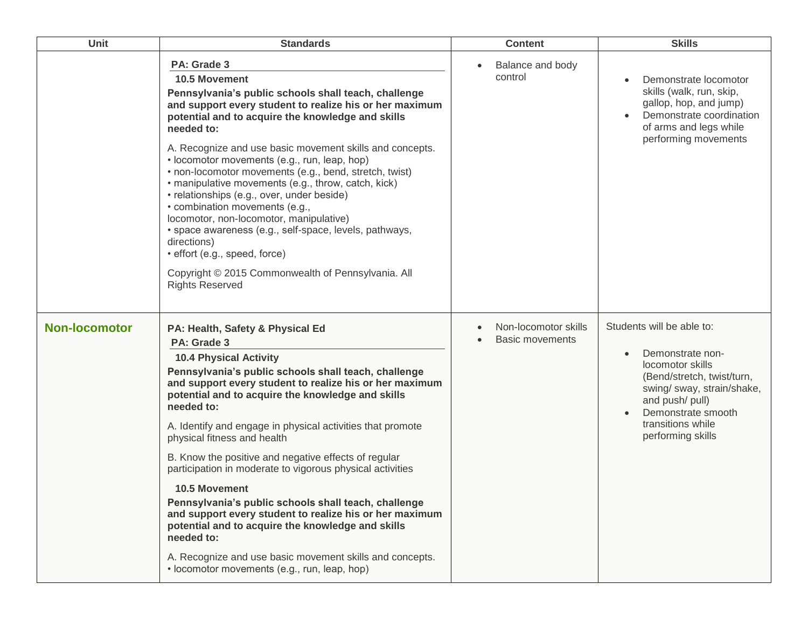| <b>Unit</b>          | <b>Standards</b>                                                                                                                                                                                                                                                                                                                                                                                                                                                                                                                                                                                                                                                                                                                                                                                                   | <b>Content</b>                                 | <b>Skills</b>                                                                                                                                                                                                    |
|----------------------|--------------------------------------------------------------------------------------------------------------------------------------------------------------------------------------------------------------------------------------------------------------------------------------------------------------------------------------------------------------------------------------------------------------------------------------------------------------------------------------------------------------------------------------------------------------------------------------------------------------------------------------------------------------------------------------------------------------------------------------------------------------------------------------------------------------------|------------------------------------------------|------------------------------------------------------------------------------------------------------------------------------------------------------------------------------------------------------------------|
|                      | PA: Grade 3<br><b>10.5 Movement</b><br>Pennsylvania's public schools shall teach, challenge<br>and support every student to realize his or her maximum<br>potential and to acquire the knowledge and skills<br>needed to:<br>A. Recognize and use basic movement skills and concepts.<br>• locomotor movements (e.g., run, leap, hop)<br>• non-locomotor movements (e.g., bend, stretch, twist)<br>• manipulative movements (e.g., throw, catch, kick)<br>• relationships (e.g., over, under beside)<br>• combination movements (e.g.,<br>locomotor, non-locomotor, manipulative)<br>· space awareness (e.g., self-space, levels, pathways,<br>directions)<br>· effort (e.g., speed, force)<br>Copyright © 2015 Commonwealth of Pennsylvania. All<br><b>Rights Reserved</b>                                        | Balance and body<br>$\bullet$<br>control       | Demonstrate locomotor<br>skills (walk, run, skip,<br>gallop, hop, and jump)<br>Demonstrate coordination<br>of arms and legs while<br>performing movements                                                        |
| <b>Non-locomotor</b> | PA: Health, Safety & Physical Ed<br>PA: Grade 3<br><b>10.4 Physical Activity</b><br>Pennsylvania's public schools shall teach, challenge<br>and support every student to realize his or her maximum<br>potential and to acquire the knowledge and skills<br>needed to:<br>A. Identify and engage in physical activities that promote<br>physical fitness and health<br>B. Know the positive and negative effects of regular<br>participation in moderate to vigorous physical activities<br><b>10.5 Movement</b><br>Pennsylvania's public schools shall teach, challenge<br>and support every student to realize his or her maximum<br>potential and to acquire the knowledge and skills<br>needed to:<br>A. Recognize and use basic movement skills and concepts.<br>• locomotor movements (e.g., run, leap, hop) | Non-locomotor skills<br><b>Basic movements</b> | Students will be able to:<br>Demonstrate non-<br>locomotor skills<br>(Bend/stretch, twist/turn,<br>swing/ sway, strain/shake,<br>and push/ pull)<br>Demonstrate smooth<br>transitions while<br>performing skills |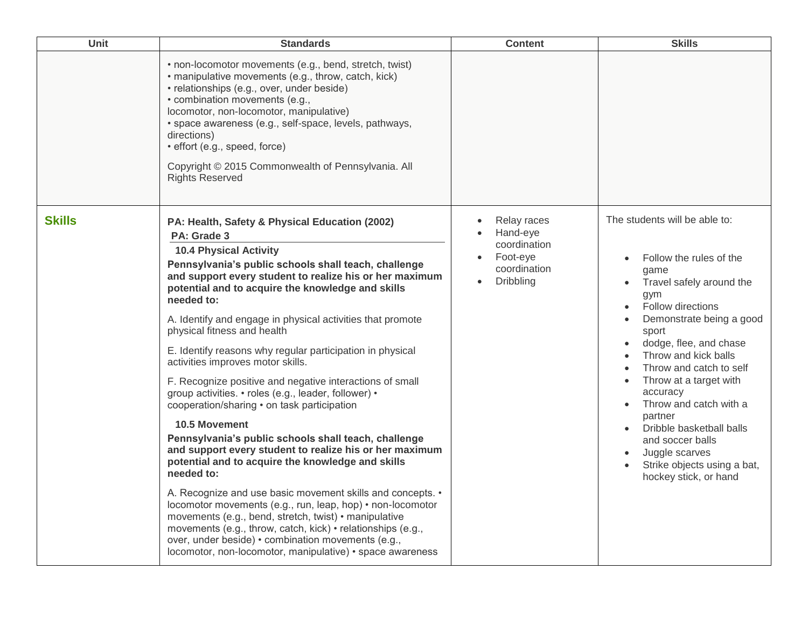| Unit          | <b>Standards</b>                                                                                                                                                                                                                                                                                                                                                                                                                                                                                                                                                                                                                                                                                                                                                                                                                                                                                                                                                                                                                                                                                                                                                                                                                     | <b>Content</b>                                                                   | <b>Skills</b>                                                                                                                                                                                                                                                                                                                                                                                                                                   |
|---------------|--------------------------------------------------------------------------------------------------------------------------------------------------------------------------------------------------------------------------------------------------------------------------------------------------------------------------------------------------------------------------------------------------------------------------------------------------------------------------------------------------------------------------------------------------------------------------------------------------------------------------------------------------------------------------------------------------------------------------------------------------------------------------------------------------------------------------------------------------------------------------------------------------------------------------------------------------------------------------------------------------------------------------------------------------------------------------------------------------------------------------------------------------------------------------------------------------------------------------------------|----------------------------------------------------------------------------------|-------------------------------------------------------------------------------------------------------------------------------------------------------------------------------------------------------------------------------------------------------------------------------------------------------------------------------------------------------------------------------------------------------------------------------------------------|
|               | • non-locomotor movements (e.g., bend, stretch, twist)<br>• manipulative movements (e.g., throw, catch, kick)<br>· relationships (e.g., over, under beside)<br>• combination movements (e.g.,<br>locomotor, non-locomotor, manipulative)<br>· space awareness (e.g., self-space, levels, pathways,<br>directions)<br>· effort (e.g., speed, force)<br>Copyright © 2015 Commonwealth of Pennsylvania. All<br><b>Rights Reserved</b>                                                                                                                                                                                                                                                                                                                                                                                                                                                                                                                                                                                                                                                                                                                                                                                                   |                                                                                  |                                                                                                                                                                                                                                                                                                                                                                                                                                                 |
| <b>Skills</b> | PA: Health, Safety & Physical Education (2002)<br>PA: Grade 3<br><b>10.4 Physical Activity</b><br>Pennsylvania's public schools shall teach, challenge<br>and support every student to realize his or her maximum<br>potential and to acquire the knowledge and skills<br>needed to:<br>A. Identify and engage in physical activities that promote<br>physical fitness and health<br>E. Identify reasons why regular participation in physical<br>activities improves motor skills.<br>F. Recognize positive and negative interactions of small<br>group activities. • roles (e.g., leader, follower) •<br>cooperation/sharing • on task participation<br>10.5 Movement<br>Pennsylvania's public schools shall teach, challenge<br>and support every student to realize his or her maximum<br>potential and to acquire the knowledge and skills<br>needed to:<br>A. Recognize and use basic movement skills and concepts. •<br>locomotor movements (e.g., run, leap, hop) • non-locomotor<br>movements (e.g., bend, stretch, twist) • manipulative<br>movements (e.g., throw, catch, kick) • relationships (e.g.,<br>over, under beside) • combination movements (e.g.,<br>locomotor, non-locomotor, manipulative) • space awareness | Relay races<br>Hand-eye<br>coordination<br>Foot-eye<br>coordination<br>Dribbling | The students will be able to:<br>Follow the rules of the<br>qame<br>Travel safely around the<br>gym<br>Follow directions<br>Demonstrate being a good<br>sport<br>dodge, flee, and chase<br>Throw and kick balls<br>Throw and catch to self<br>Throw at a target with<br>accuracy<br>Throw and catch with a<br>partner<br>Dribble basketball balls<br>and soccer balls<br>Juggle scarves<br>Strike objects using a bat,<br>hockey stick, or hand |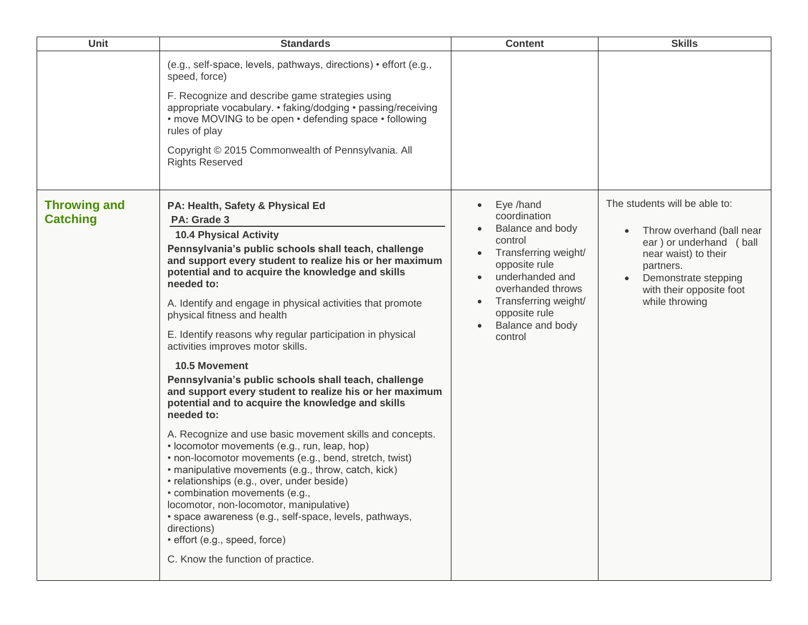| <b>Unit</b>                            | <b>Standards</b>                                                                                                                                                                                                                                                                                                                                                                                                                                                                                                                                                                                                                                                                                                                                                                                                                                                                                                                                                                                                                                                                                                                                                                           | <b>Content</b>                                                                                                                                                                                                                                                        | <b>Skills</b>                                                                                                                                                                                    |
|----------------------------------------|--------------------------------------------------------------------------------------------------------------------------------------------------------------------------------------------------------------------------------------------------------------------------------------------------------------------------------------------------------------------------------------------------------------------------------------------------------------------------------------------------------------------------------------------------------------------------------------------------------------------------------------------------------------------------------------------------------------------------------------------------------------------------------------------------------------------------------------------------------------------------------------------------------------------------------------------------------------------------------------------------------------------------------------------------------------------------------------------------------------------------------------------------------------------------------------------|-----------------------------------------------------------------------------------------------------------------------------------------------------------------------------------------------------------------------------------------------------------------------|--------------------------------------------------------------------------------------------------------------------------------------------------------------------------------------------------|
|                                        | (e.g., self-space, levels, pathways, directions) • effort (e.g.,<br>speed, force)<br>F. Recognize and describe game strategies using<br>appropriate vocabulary. • faking/dodging • passing/receiving<br>• move MOVING to be open • defending space • following<br>rules of play<br>Copyright © 2015 Commonwealth of Pennsylvania. All<br><b>Rights Reserved</b>                                                                                                                                                                                                                                                                                                                                                                                                                                                                                                                                                                                                                                                                                                                                                                                                                            |                                                                                                                                                                                                                                                                       |                                                                                                                                                                                                  |
| <b>Throwing and</b><br><b>Catching</b> | PA: Health, Safety & Physical Ed<br>PA: Grade 3<br><b>10.4 Physical Activity</b><br>Pennsylvania's public schools shall teach, challenge<br>and support every student to realize his or her maximum<br>potential and to acquire the knowledge and skills<br>needed to:<br>A. Identify and engage in physical activities that promote<br>physical fitness and health<br>E. Identify reasons why regular participation in physical<br>activities improves motor skills.<br><b>10.5 Movement</b><br>Pennsylvania's public schools shall teach, challenge<br>and support every student to realize his or her maximum<br>potential and to acquire the knowledge and skills<br>needed to:<br>A. Recognize and use basic movement skills and concepts.<br>• locomotor movements (e.g., run, leap, hop)<br>· non-locomotor movements (e.g., bend, stretch, twist)<br>· manipulative movements (e.g., throw, catch, kick)<br>• relationships (e.g., over, under beside)<br>· combination movements (e.g.,<br>locomotor, non-locomotor, manipulative)<br>· space awareness (e.g., self-space, levels, pathways,<br>directions)<br>· effort (e.g., speed, force)<br>C. Know the function of practice. | Eye /hand<br>$\bullet$<br>coordination<br>Balance and body<br>control<br>Transferring weight/<br>$\bullet$<br>opposite rule<br>underhanded and<br>$\bullet$<br>overhanded throws<br>Transferring weight/<br>$\bullet$<br>opposite rule<br>Balance and body<br>control | The students will be able to:<br>Throw overhand (ball near<br>ear) or underhand (ball<br>near waist) to their<br>partners.<br>Demonstrate stepping<br>with their opposite foot<br>while throwing |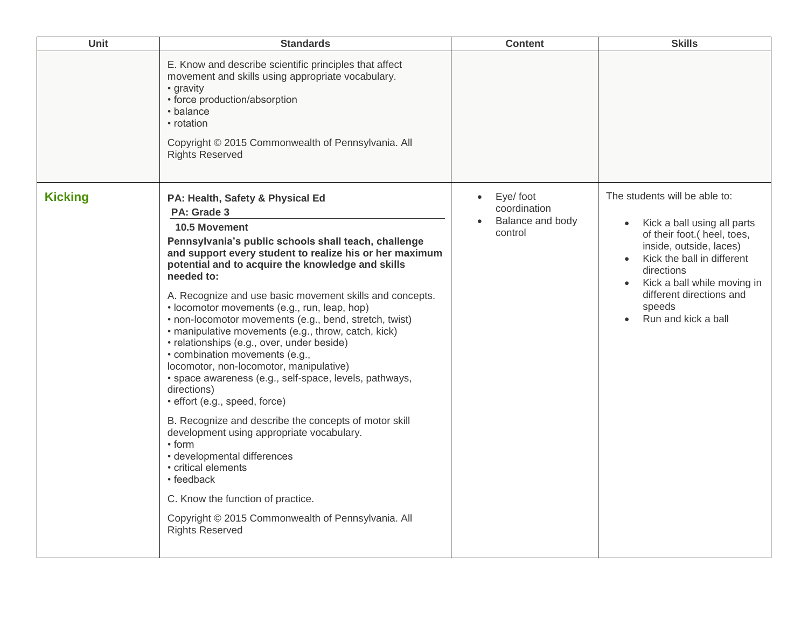| <b>Unit</b>    | <b>Standards</b>                                                                                                                                                                                                                                                                                                                                                                                                                                                                                                                                                                                                                                                                                                                                                                                                                                                                                                                                                                                                                  | <b>Content</b>                                                        | <b>Skills</b>                                                                                                                                                                                                                                                  |
|----------------|-----------------------------------------------------------------------------------------------------------------------------------------------------------------------------------------------------------------------------------------------------------------------------------------------------------------------------------------------------------------------------------------------------------------------------------------------------------------------------------------------------------------------------------------------------------------------------------------------------------------------------------------------------------------------------------------------------------------------------------------------------------------------------------------------------------------------------------------------------------------------------------------------------------------------------------------------------------------------------------------------------------------------------------|-----------------------------------------------------------------------|----------------------------------------------------------------------------------------------------------------------------------------------------------------------------------------------------------------------------------------------------------------|
|                | E. Know and describe scientific principles that affect<br>movement and skills using appropriate vocabulary.<br>• gravity<br>• force production/absorption<br>• balance<br>• rotation<br>Copyright © 2015 Commonwealth of Pennsylvania. All<br><b>Rights Reserved</b>                                                                                                                                                                                                                                                                                                                                                                                                                                                                                                                                                                                                                                                                                                                                                              |                                                                       |                                                                                                                                                                                                                                                                |
| <b>Kicking</b> | PA: Health, Safety & Physical Ed<br>PA: Grade 3<br>10.5 Movement<br>Pennsylvania's public schools shall teach, challenge<br>and support every student to realize his or her maximum<br>potential and to acquire the knowledge and skills<br>needed to:<br>A. Recognize and use basic movement skills and concepts.<br>• locomotor movements (e.g., run, leap, hop)<br>• non-locomotor movements (e.g., bend, stretch, twist)<br>· manipulative movements (e.g., throw, catch, kick)<br>· relationships (e.g., over, under beside)<br>• combination movements (e.g.,<br>locomotor, non-locomotor, manipulative)<br>· space awareness (e.g., self-space, levels, pathways,<br>directions)<br>· effort (e.g., speed, force)<br>B. Recognize and describe the concepts of motor skill<br>development using appropriate vocabulary.<br>• form<br>· developmental differences<br>• critical elements<br>• feedback<br>C. Know the function of practice.<br>Copyright © 2015 Commonwealth of Pennsylvania. All<br><b>Rights Reserved</b> | Eye/ foot<br>$\bullet$<br>coordination<br>Balance and body<br>control | The students will be able to:<br>Kick a ball using all parts<br>of their foot.( heel, toes,<br>inside, outside, laces)<br>Kick the ball in different<br>directions<br>Kick a ball while moving in<br>different directions and<br>speeds<br>Run and kick a ball |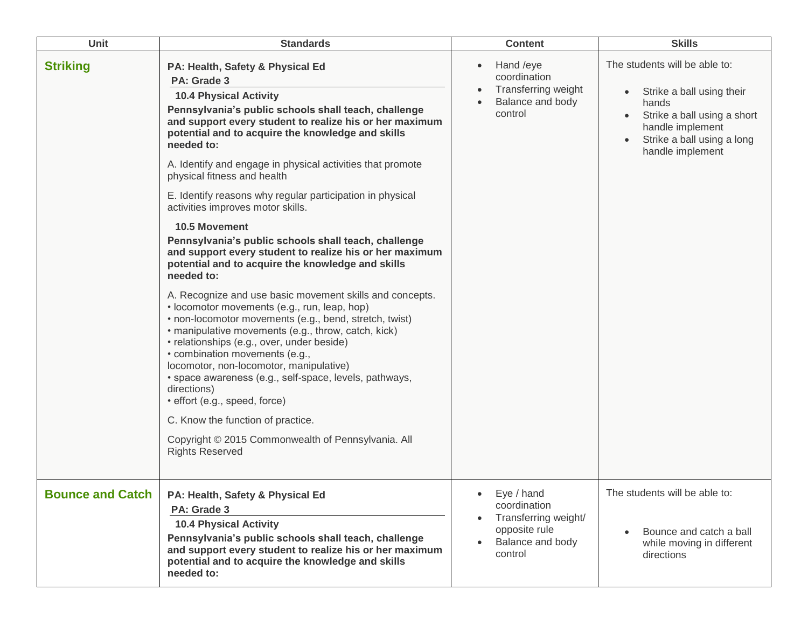| <b>Unit</b>             | <b>Standards</b>                                                                                                                                                                                                                                                                                                                                                                                                                                                                                                                                                                                                                                                                                                                                                                                                                                                                                                                                                                                                                                                                                                                                                                                                                                                           | <b>Content</b>                                                                                                  | <b>Skills</b>                                                                                                                                                            |
|-------------------------|----------------------------------------------------------------------------------------------------------------------------------------------------------------------------------------------------------------------------------------------------------------------------------------------------------------------------------------------------------------------------------------------------------------------------------------------------------------------------------------------------------------------------------------------------------------------------------------------------------------------------------------------------------------------------------------------------------------------------------------------------------------------------------------------------------------------------------------------------------------------------------------------------------------------------------------------------------------------------------------------------------------------------------------------------------------------------------------------------------------------------------------------------------------------------------------------------------------------------------------------------------------------------|-----------------------------------------------------------------------------------------------------------------|--------------------------------------------------------------------------------------------------------------------------------------------------------------------------|
| <b>Striking</b>         | PA: Health, Safety & Physical Ed<br>PA: Grade 3<br><b>10.4 Physical Activity</b><br>Pennsylvania's public schools shall teach, challenge<br>and support every student to realize his or her maximum<br>potential and to acquire the knowledge and skills<br>needed to:<br>A. Identify and engage in physical activities that promote<br>physical fitness and health<br>E. Identify reasons why regular participation in physical<br>activities improves motor skills.<br><b>10.5 Movement</b><br>Pennsylvania's public schools shall teach, challenge<br>and support every student to realize his or her maximum<br>potential and to acquire the knowledge and skills<br>needed to:<br>A. Recognize and use basic movement skills and concepts.<br>• locomotor movements (e.g., run, leap, hop)<br>• non-locomotor movements (e.g., bend, stretch, twist)<br>· manipulative movements (e.g., throw, catch, kick)<br>· relationships (e.g., over, under beside)<br>• combination movements (e.g.,<br>locomotor, non-locomotor, manipulative)<br>· space awareness (e.g., self-space, levels, pathways,<br>directions)<br>· effort (e.g., speed, force)<br>C. Know the function of practice.<br>Copyright © 2015 Commonwealth of Pennsylvania. All<br><b>Rights Reserved</b> | Hand /eye<br>$\bullet$<br>coordination<br>Transferring weight<br>Balance and body<br>control                    | The students will be able to:<br>Strike a ball using their<br>hands<br>Strike a ball using a short<br>handle implement<br>Strike a ball using a long<br>handle implement |
| <b>Bounce and Catch</b> | PA: Health, Safety & Physical Ed<br>PA: Grade 3<br><b>10.4 Physical Activity</b><br>Pennsylvania's public schools shall teach, challenge<br>and support every student to realize his or her maximum<br>potential and to acquire the knowledge and skills<br>needed to:                                                                                                                                                                                                                                                                                                                                                                                                                                                                                                                                                                                                                                                                                                                                                                                                                                                                                                                                                                                                     | Eye / hand<br>coordination<br>Transferring weight/<br>$\bullet$<br>opposite rule<br>Balance and body<br>control | The students will be able to:<br>Bounce and catch a ball<br>while moving in different<br>directions                                                                      |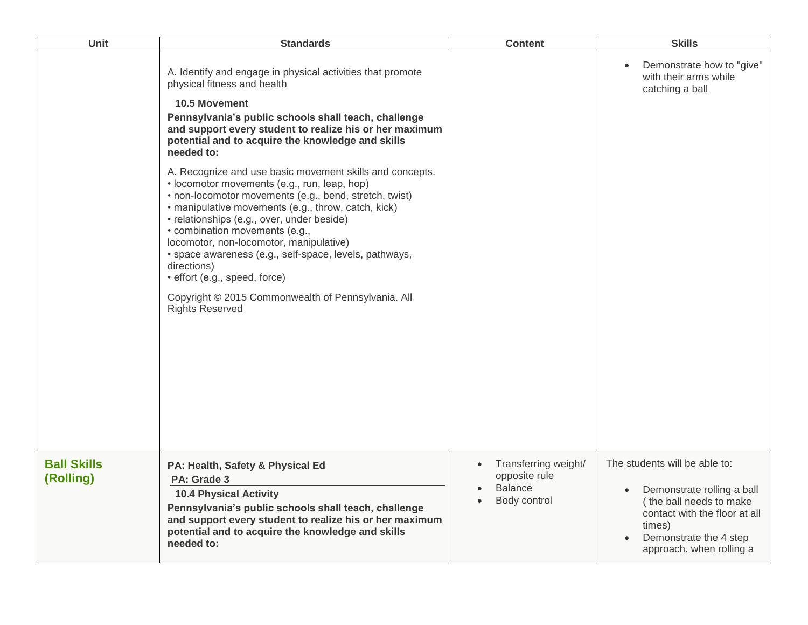| Unit                            | <b>Standards</b>                                                                                                                                                                                                                                                                                                                                                                                                                                                                                                                               | <b>Content</b>                                                                       | <b>Skills</b>                                                                                                                                                                           |
|---------------------------------|------------------------------------------------------------------------------------------------------------------------------------------------------------------------------------------------------------------------------------------------------------------------------------------------------------------------------------------------------------------------------------------------------------------------------------------------------------------------------------------------------------------------------------------------|--------------------------------------------------------------------------------------|-----------------------------------------------------------------------------------------------------------------------------------------------------------------------------------------|
|                                 | A. Identify and engage in physical activities that promote<br>physical fitness and health<br>10.5 Movement<br>Pennsylvania's public schools shall teach, challenge<br>and support every student to realize his or her maximum<br>potential and to acquire the knowledge and skills<br>needed to:                                                                                                                                                                                                                                               |                                                                                      | Demonstrate how to "give"<br>$\bullet$<br>with their arms while<br>catching a ball                                                                                                      |
|                                 | A. Recognize and use basic movement skills and concepts.<br>• locomotor movements (e.g., run, leap, hop)<br>• non-locomotor movements (e.g., bend, stretch, twist)<br>• manipulative movements (e.g., throw, catch, kick)<br>• relationships (e.g., over, under beside)<br>• combination movements (e.g.,<br>locomotor, non-locomotor, manipulative)<br>· space awareness (e.g., self-space, levels, pathways,<br>directions)<br>· effort (e.g., speed, force)<br>Copyright © 2015 Commonwealth of Pennsylvania. All<br><b>Rights Reserved</b> |                                                                                      |                                                                                                                                                                                         |
| <b>Ball Skills</b><br>(Rolling) | PA: Health, Safety & Physical Ed<br>PA: Grade 3<br><b>10.4 Physical Activity</b><br>Pennsylvania's public schools shall teach, challenge<br>and support every student to realize his or her maximum<br>potential and to acquire the knowledge and skills<br>needed to:                                                                                                                                                                                                                                                                         | Transferring weight/<br>$\bullet$<br>opposite rule<br><b>Balance</b><br>Body control | The students will be able to:<br>Demonstrate rolling a ball<br>(the ball needs to make<br>contact with the floor at all<br>times)<br>Demonstrate the 4 step<br>approach. when rolling a |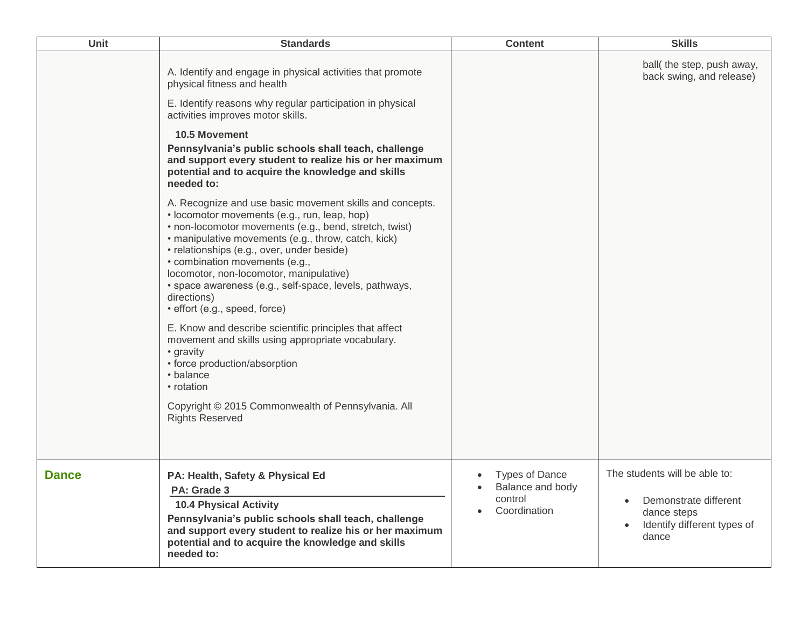| Unit         | <b>Standards</b>                                                                                                                                                                                                                                                                                                                                                                                                                                               | <b>Content</b>                                                       | <b>Skills</b>                                                                                                 |
|--------------|----------------------------------------------------------------------------------------------------------------------------------------------------------------------------------------------------------------------------------------------------------------------------------------------------------------------------------------------------------------------------------------------------------------------------------------------------------------|----------------------------------------------------------------------|---------------------------------------------------------------------------------------------------------------|
|              | A. Identify and engage in physical activities that promote<br>physical fitness and health<br>E. Identify reasons why regular participation in physical<br>activities improves motor skills.                                                                                                                                                                                                                                                                    |                                                                      | ball(the step, push away,<br>back swing, and release)                                                         |
|              | 10.5 Movement<br>Pennsylvania's public schools shall teach, challenge<br>and support every student to realize his or her maximum<br>potential and to acquire the knowledge and skills<br>needed to:                                                                                                                                                                                                                                                            |                                                                      |                                                                                                               |
|              | A. Recognize and use basic movement skills and concepts.<br>· locomotor movements (e.g., run, leap, hop)<br>• non-locomotor movements (e.g., bend, stretch, twist)<br>· manipulative movements (e.g., throw, catch, kick)<br>· relationships (e.g., over, under beside)<br>• combination movements (e.g.,<br>locomotor, non-locomotor, manipulative)<br>· space awareness (e.g., self-space, levels, pathways,<br>directions)<br>· effort (e.g., speed, force) |                                                                      |                                                                                                               |
|              | E. Know and describe scientific principles that affect<br>movement and skills using appropriate vocabulary.<br>• gravity<br>• force production/absorption<br>• balance<br>• rotation                                                                                                                                                                                                                                                                           |                                                                      |                                                                                                               |
|              | Copyright © 2015 Commonwealth of Pennsylvania. All<br><b>Rights Reserved</b>                                                                                                                                                                                                                                                                                                                                                                                   |                                                                      |                                                                                                               |
| <b>Dance</b> | PA: Health, Safety & Physical Ed<br>PA: Grade 3<br><b>10.4 Physical Activity</b><br>Pennsylvania's public schools shall teach, challenge<br>and support every student to realize his or her maximum<br>potential and to acquire the knowledge and skills<br>needed to:                                                                                                                                                                                         | <b>Types of Dance</b><br>Balance and body<br>control<br>Coordination | The students will be able to:<br>Demonstrate different<br>dance steps<br>Identify different types of<br>dance |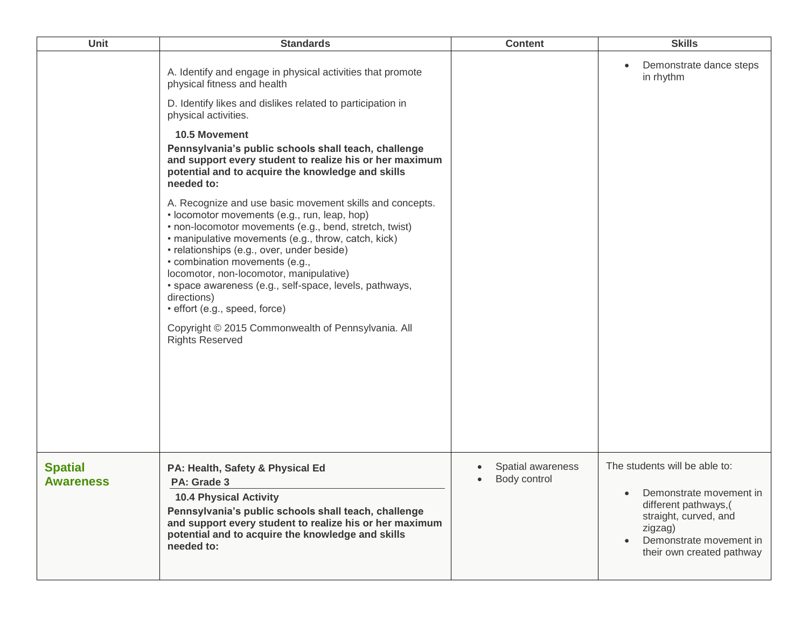| <b>Unit</b>                        | <b>Standards</b>                                                                                                                                                                                                                                                                                                                                                                                                                                                                                                                                                                                                                                                                                                                                                                                                                                                                                                                                | <b>Content</b>                    | <b>Skills</b>                                                                                                                                                                |
|------------------------------------|-------------------------------------------------------------------------------------------------------------------------------------------------------------------------------------------------------------------------------------------------------------------------------------------------------------------------------------------------------------------------------------------------------------------------------------------------------------------------------------------------------------------------------------------------------------------------------------------------------------------------------------------------------------------------------------------------------------------------------------------------------------------------------------------------------------------------------------------------------------------------------------------------------------------------------------------------|-----------------------------------|------------------------------------------------------------------------------------------------------------------------------------------------------------------------------|
|                                    | A. Identify and engage in physical activities that promote<br>physical fitness and health<br>D. Identify likes and dislikes related to participation in<br>physical activities.<br><b>10.5 Movement</b><br>Pennsylvania's public schools shall teach, challenge<br>and support every student to realize his or her maximum<br>potential and to acquire the knowledge and skills<br>needed to:<br>A. Recognize and use basic movement skills and concepts.<br>· locomotor movements (e.g., run, leap, hop)<br>• non-locomotor movements (e.g., bend, stretch, twist)<br>· manipulative movements (e.g., throw, catch, kick)<br>• relationships (e.g., over, under beside)<br>• combination movements (e.g.,<br>locomotor, non-locomotor, manipulative)<br>· space awareness (e.g., self-space, levels, pathways,<br>directions)<br>· effort (e.g., speed, force)<br>Copyright © 2015 Commonwealth of Pennsylvania. All<br><b>Rights Reserved</b> |                                   | Demonstrate dance steps<br>in rhythm                                                                                                                                         |
| <b>Spatial</b><br><b>Awareness</b> | PA: Health, Safety & Physical Ed<br>PA: Grade 3<br><b>10.4 Physical Activity</b><br>Pennsylvania's public schools shall teach, challenge<br>and support every student to realize his or her maximum<br>potential and to acquire the knowledge and skills<br>needed to:                                                                                                                                                                                                                                                                                                                                                                                                                                                                                                                                                                                                                                                                          | Spatial awareness<br>Body control | The students will be able to:<br>Demonstrate movement in<br>different pathways,(<br>straight, curved, and<br>zigzag)<br>Demonstrate movement in<br>their own created pathway |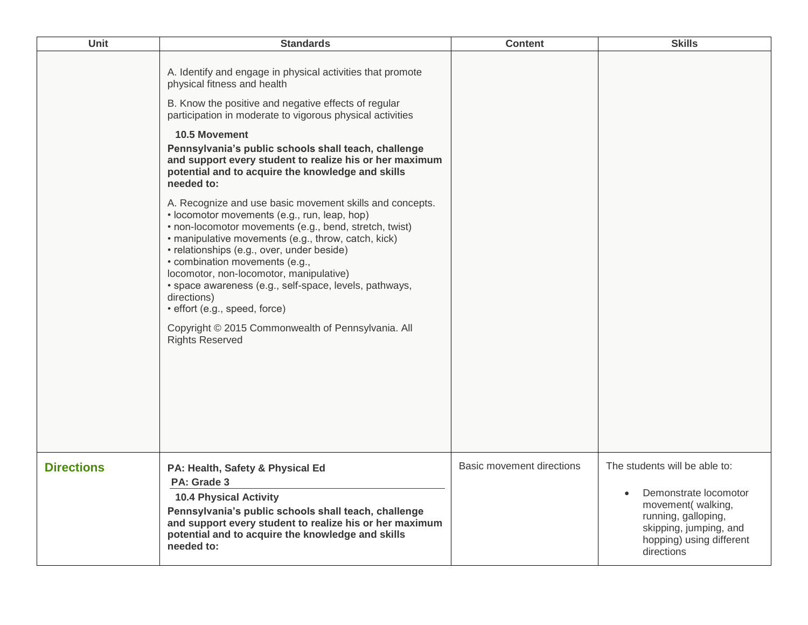| <b>Unit</b>       | <b>Standards</b>                                                                                                                                                                                                                                                                                                                                                                                                                                                                                                                                                                                                                                                                                                                                                                                                                                                                                                                                                        | <b>Content</b>                   | <b>Skills</b>                                                                                                                                                                       |
|-------------------|-------------------------------------------------------------------------------------------------------------------------------------------------------------------------------------------------------------------------------------------------------------------------------------------------------------------------------------------------------------------------------------------------------------------------------------------------------------------------------------------------------------------------------------------------------------------------------------------------------------------------------------------------------------------------------------------------------------------------------------------------------------------------------------------------------------------------------------------------------------------------------------------------------------------------------------------------------------------------|----------------------------------|-------------------------------------------------------------------------------------------------------------------------------------------------------------------------------------|
|                   | A. Identify and engage in physical activities that promote<br>physical fitness and health<br>B. Know the positive and negative effects of regular<br>participation in moderate to vigorous physical activities<br>10.5 Movement<br>Pennsylvania's public schools shall teach, challenge<br>and support every student to realize his or her maximum<br>potential and to acquire the knowledge and skills<br>needed to:<br>A. Recognize and use basic movement skills and concepts.<br>• locomotor movements (e.g., run, leap, hop)<br>• non-locomotor movements (e.g., bend, stretch, twist)<br>· manipulative movements (e.g., throw, catch, kick)<br>• relationships (e.g., over, under beside)<br>• combination movements (e.g.,<br>locomotor, non-locomotor, manipulative)<br>· space awareness (e.g., self-space, levels, pathways,<br>directions)<br>· effort (e.g., speed, force)<br>Copyright © 2015 Commonwealth of Pennsylvania. All<br><b>Rights Reserved</b> |                                  |                                                                                                                                                                                     |
| <b>Directions</b> | PA: Health, Safety & Physical Ed<br>PA: Grade 3<br><b>10.4 Physical Activity</b><br>Pennsylvania's public schools shall teach, challenge<br>and support every student to realize his or her maximum<br>potential and to acquire the knowledge and skills<br>needed to:                                                                                                                                                                                                                                                                                                                                                                                                                                                                                                                                                                                                                                                                                                  | <b>Basic movement directions</b> | The students will be able to:<br>Demonstrate locomotor<br>$\bullet$<br>movement(walking,<br>running, galloping,<br>skipping, jumping, and<br>hopping) using different<br>directions |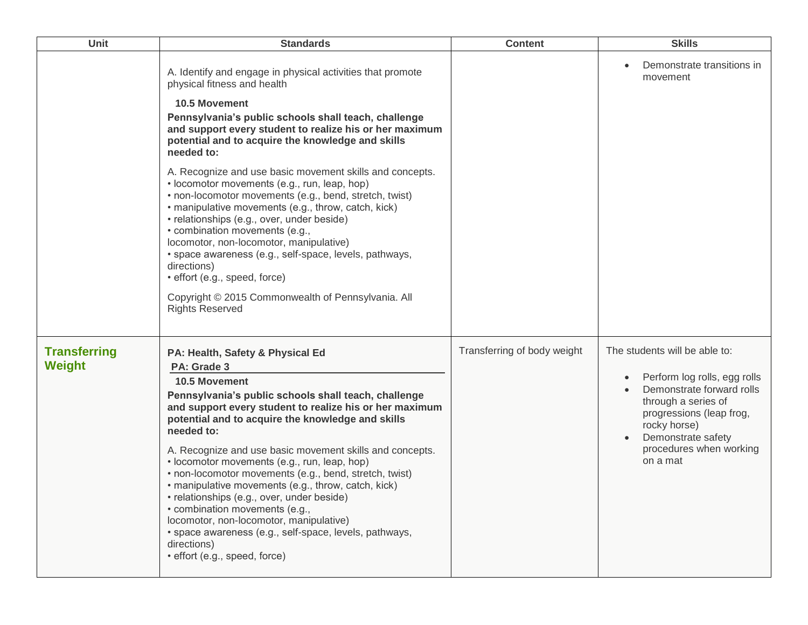| Unit                                 | <b>Standards</b>                                                                                                                                                                                                                                                                                                                                                                                                                                                                                                                                                                                                                                                                                                                | <b>Content</b>              | <b>Skills</b>                                                                                                                                                                                                              |
|--------------------------------------|---------------------------------------------------------------------------------------------------------------------------------------------------------------------------------------------------------------------------------------------------------------------------------------------------------------------------------------------------------------------------------------------------------------------------------------------------------------------------------------------------------------------------------------------------------------------------------------------------------------------------------------------------------------------------------------------------------------------------------|-----------------------------|----------------------------------------------------------------------------------------------------------------------------------------------------------------------------------------------------------------------------|
|                                      | A. Identify and engage in physical activities that promote<br>physical fitness and health<br><b>10.5 Movement</b><br>Pennsylvania's public schools shall teach, challenge<br>and support every student to realize his or her maximum<br>potential and to acquire the knowledge and skills<br>needed to:                                                                                                                                                                                                                                                                                                                                                                                                                         |                             | Demonstrate transitions in<br>movement                                                                                                                                                                                     |
|                                      | A. Recognize and use basic movement skills and concepts.<br>• locomotor movements (e.g., run, leap, hop)<br>• non-locomotor movements (e.g., bend, stretch, twist)<br>• manipulative movements (e.g., throw, catch, kick)<br>• relationships (e.g., over, under beside)<br>• combination movements (e.g.,<br>locomotor, non-locomotor, manipulative)<br>• space awareness (e.g., self-space, levels, pathways,<br>directions)<br>· effort (e.g., speed, force)<br>Copyright © 2015 Commonwealth of Pennsylvania. All<br><b>Rights Reserved</b>                                                                                                                                                                                  |                             |                                                                                                                                                                                                                            |
| <b>Transferring</b><br><b>Weight</b> | PA: Health, Safety & Physical Ed<br>PA: Grade 3<br><b>10.5 Movement</b><br>Pennsylvania's public schools shall teach, challenge<br>and support every student to realize his or her maximum<br>potential and to acquire the knowledge and skills<br>needed to:<br>A. Recognize and use basic movement skills and concepts.<br>• locomotor movements (e.g., run, leap, hop)<br>• non-locomotor movements (e.g., bend, stretch, twist)<br>• manipulative movements (e.g., throw, catch, kick)<br>• relationships (e.g., over, under beside)<br>• combination movements (e.g.,<br>locomotor, non-locomotor, manipulative)<br>· space awareness (e.g., self-space, levels, pathways,<br>directions)<br>· effort (e.g., speed, force) | Transferring of body weight | The students will be able to:<br>Perform log rolls, egg rolls<br>Demonstrate forward rolls<br>through a series of<br>progressions (leap frog,<br>rocky horse)<br>Demonstrate safety<br>procedures when working<br>on a mat |